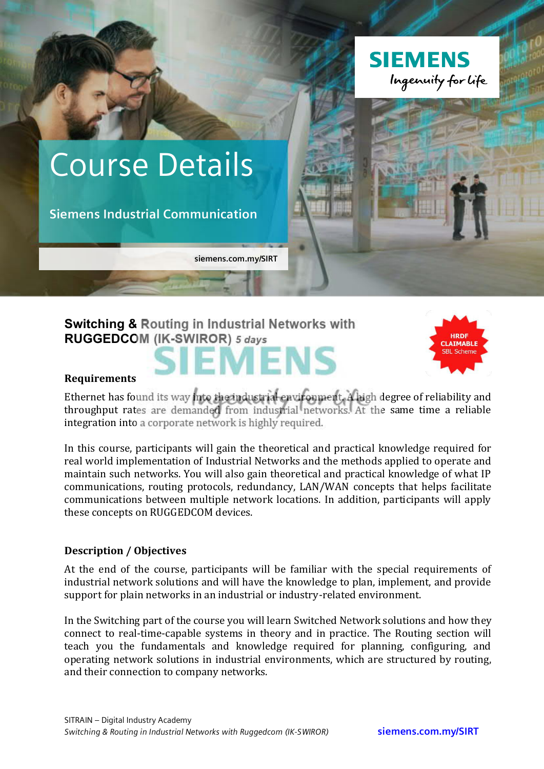

# **Switching & Routing in Industrial Networks with RUGGEDCOM (IK-SWIROR)** *5 days*





#### **Requirements**

Ethernet has found its way into the industrial environment. A high degree of reliability and throughput rates are demanded from industrial networks. At the same time a reliable integration into a corporate network is highly required.

In this course, participants will gain the theoretical and practical knowledge required for real world implementation of Industrial Networks and the methods applied to operate and maintain such networks. You will also gain theoretical and practical knowledge of what IP communications, routing protocols, redundancy, LAN/WAN concepts that helps facilitate communications between multiple network locations. In addition, participants will apply these concepts on RUGGEDCOM devices.

## **Description / Objectives**

At the end of the course, participants will be familiar with the special requirements of industrial network solutions and will have the knowledge to plan, implement, and provide support for plain networks in an industrial or industry-related environment.

In the Switching part of the course you will learn Switched Network solutions and how they connect to real-time-capable systems in theory and in practice. The Routing section will teach you the fundamentals and knowledge required for planning, configuring, and operating network solutions in industrial environments, which are structured by routing, and their connection to company networks.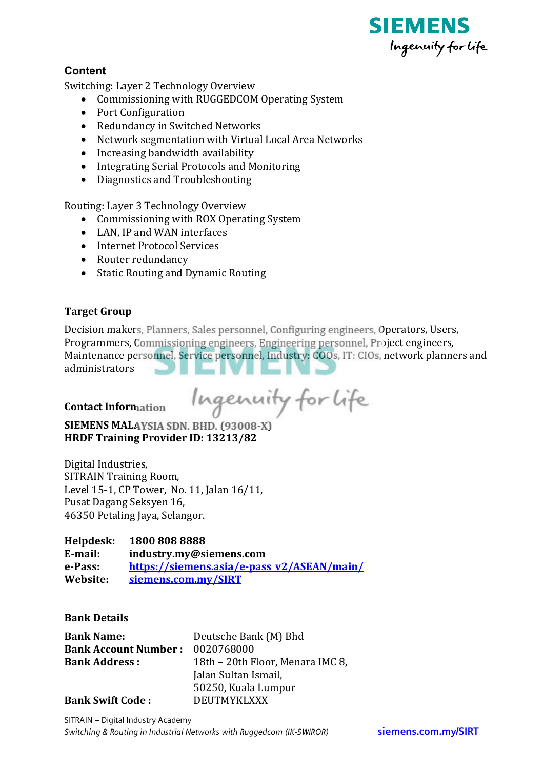

# Content

Switching: Layer 2 Technology Overview

- Commissioning with RUGGEDCOM Operating System
- Port Configuration
- Redundancy in Switched Networks
- Network segmentation with Virtual Local Area Networks
- Increasing bandwidth availability
- Integrating Serial Protocols and Monitoring
- Diagnostics and Troubleshooting

Routing: Layer 3 Technology Overview

- Commissioning with ROX Operating System
- LAN, IP and WAN interfaces
- Internet Protocol Services
- Router redundancy
- Static Routing and Dynamic Routing

### **Target Group**

Decision makers, Planners, Sales personnel, Configuring engineers, Operators, Users, Programmers, Commissioning engineers, Engineering personnel, Project engineers, Maintenance personnel, Service personnel, Industry: COOs, IT: CIOs, network planners and administrators

**Contact Information** 

Ingenuity for Life

**SIEMENS MALAYSIA SDN. BHD. (93008-X)** HRDF Training Provider ID: 13213/82

Digital Industries, **SITRAIN Training Room.** Level 15-1, CP Tower, No. 11, Jalan 16/11, Pusat Dagang Seksyen 16, 46350 Petaling Jaya, Selangor.

#### Helpdesk: 1800 808 8888

E-mail: industry.my@siemens.com e-Pass: https://siemens.asia/e-pass v2/ASEAN/main/ siemens.com.mv/SIRT Website:

#### **Bank Details**

| <b>Bank Name:</b>           | Deutsche Bank (M) Bhd            |
|-----------------------------|----------------------------------|
| <b>Bank Account Number:</b> | 0020768000                       |
| <b>Bank Address:</b>        | 18th – 20th Floor, Menara IMC 8, |
|                             | Jalan Sultan Ismail,             |
|                             | 50250, Kuala Lumpur              |
| <b>Bank Swift Code:</b>     | <b>DEUTMYKLXXX</b>               |